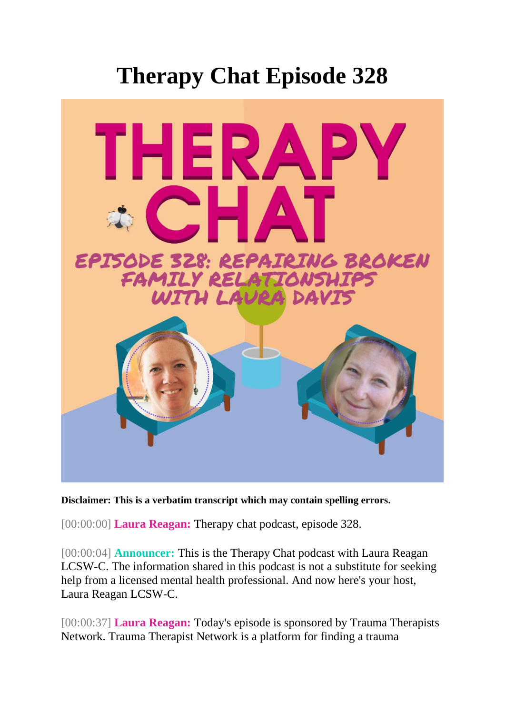## **Therapy Chat Episode 328**



**Disclaimer: This is a verbatim transcript which may contain spelling errors.**

[00:00:00] **Laura Reagan:** Therapy chat podcast, episode 328.

[00:00:04] **Announcer:** This is the Therapy Chat podcast with Laura Reagan LCSW-C. The information shared in this podcast is not a substitute for seeking help from a licensed mental health professional. And now here's your host, Laura Reagan LCSW-C.

[00:00:37] **Laura Reagan:** Today's episode is sponsored by Trauma Therapists Network. Trauma Therapist Network is a platform for finding a trauma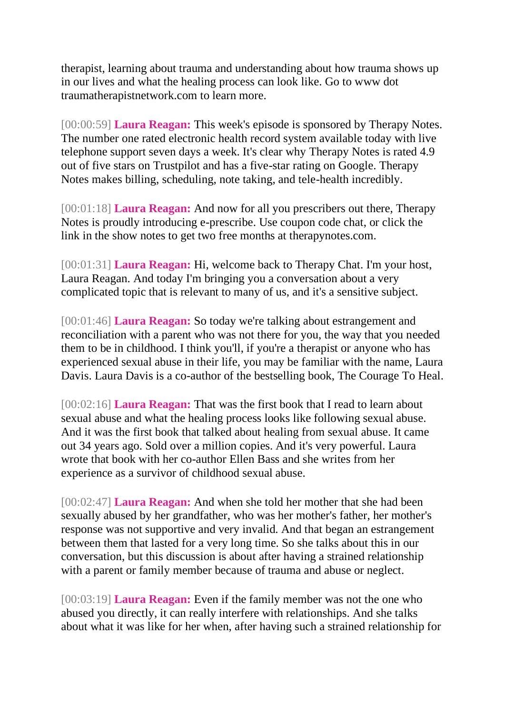therapist, learning about trauma and understanding about how trauma shows up in our lives and what the healing process can look like. Go to www dot traumatherapistnetwork.com to learn more.

[00:00:59] **Laura Reagan:** This week's episode is sponsored by Therapy Notes. The number one rated electronic health record system available today with live telephone support seven days a week. It's clear why Therapy Notes is rated 4.9 out of five stars on Trustpilot and has a five-star rating on Google. Therapy Notes makes billing, scheduling, note taking, and tele-health incredibly.

[00:01:18] **Laura Reagan:** And now for all you prescribers out there, Therapy Notes is proudly introducing e-prescribe. Use coupon code chat, or click the link in the show notes to get two free months at therapynotes.com.

[00:01:31] **Laura Reagan:** Hi, welcome back to Therapy Chat. I'm your host, Laura Reagan. And today I'm bringing you a conversation about a very complicated topic that is relevant to many of us, and it's a sensitive subject.

[00:01:46] **Laura Reagan:** So today we're talking about estrangement and reconciliation with a parent who was not there for you, the way that you needed them to be in childhood. I think you'll, if you're a therapist or anyone who has experienced sexual abuse in their life, you may be familiar with the name, Laura Davis. Laura Davis is a co-author of the bestselling book, The Courage To Heal.

[00:02:16] **Laura Reagan:** That was the first book that I read to learn about sexual abuse and what the healing process looks like following sexual abuse. And it was the first book that talked about healing from sexual abuse. It came out 34 years ago. Sold over a million copies. And it's very powerful. Laura wrote that book with her co-author Ellen Bass and she writes from her experience as a survivor of childhood sexual abuse.

[00:02:47] **Laura Reagan:** And when she told her mother that she had been sexually abused by her grandfather, who was her mother's father, her mother's response was not supportive and very invalid. And that began an estrangement between them that lasted for a very long time. So she talks about this in our conversation, but this discussion is about after having a strained relationship with a parent or family member because of trauma and abuse or neglect.

[00:03:19] **Laura Reagan:** Even if the family member was not the one who abused you directly, it can really interfere with relationships. And she talks about what it was like for her when, after having such a strained relationship for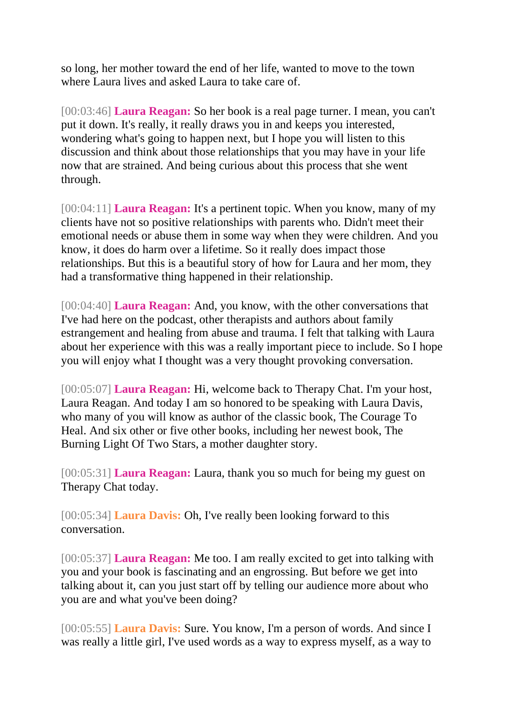so long, her mother toward the end of her life, wanted to move to the town where Laura lives and asked Laura to take care of.

[00:03:46] **Laura Reagan:** So her book is a real page turner. I mean, you can't put it down. It's really, it really draws you in and keeps you interested, wondering what's going to happen next, but I hope you will listen to this discussion and think about those relationships that you may have in your life now that are strained. And being curious about this process that she went through.

[00:04:11] **Laura Reagan:** It's a pertinent topic. When you know, many of my clients have not so positive relationships with parents who. Didn't meet their emotional needs or abuse them in some way when they were children. And you know, it does do harm over a lifetime. So it really does impact those relationships. But this is a beautiful story of how for Laura and her mom, they had a transformative thing happened in their relationship.

[00:04:40] **Laura Reagan:** And, you know, with the other conversations that I've had here on the podcast, other therapists and authors about family estrangement and healing from abuse and trauma. I felt that talking with Laura about her experience with this was a really important piece to include. So I hope you will enjoy what I thought was a very thought provoking conversation.

[00:05:07] **Laura Reagan:** Hi, welcome back to Therapy Chat. I'm your host, Laura Reagan. And today I am so honored to be speaking with Laura Davis, who many of you will know as author of the classic book, The Courage To Heal. And six other or five other books, including her newest book, The Burning Light Of Two Stars, a mother daughter story.

[00:05:31] **Laura Reagan:** Laura, thank you so much for being my guest on Therapy Chat today.

[00:05:34] **Laura Davis:** Oh, I've really been looking forward to this conversation.

[00:05:37] **Laura Reagan:** Me too. I am really excited to get into talking with you and your book is fascinating and an engrossing. But before we get into talking about it, can you just start off by telling our audience more about who you are and what you've been doing?

[00:05:55] **Laura Davis:** Sure. You know, I'm a person of words. And since I was really a little girl, I've used words as a way to express myself, as a way to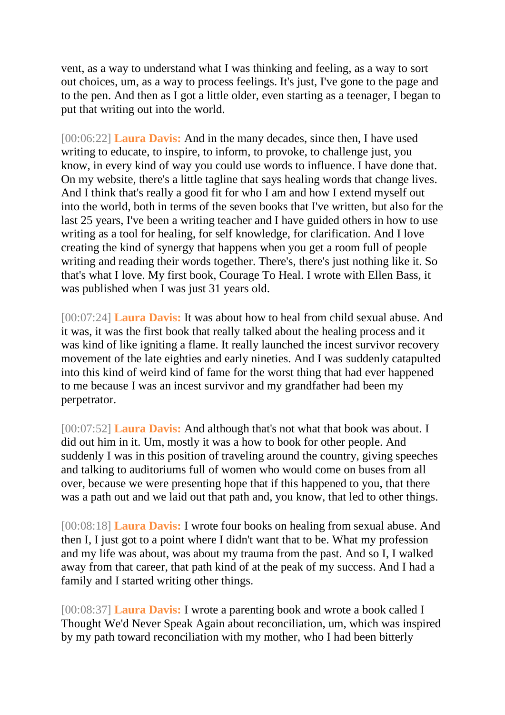vent, as a way to understand what I was thinking and feeling, as a way to sort out choices, um, as a way to process feelings. It's just, I've gone to the page and to the pen. And then as I got a little older, even starting as a teenager, I began to put that writing out into the world.

[00:06:22] **Laura Davis:** And in the many decades, since then, I have used writing to educate, to inspire, to inform, to provoke, to challenge just, you know, in every kind of way you could use words to influence. I have done that. On my website, there's a little tagline that says healing words that change lives. And I think that's really a good fit for who I am and how I extend myself out into the world, both in terms of the seven books that I've written, but also for the last 25 years, I've been a writing teacher and I have guided others in how to use writing as a tool for healing, for self knowledge, for clarification. And I love creating the kind of synergy that happens when you get a room full of people writing and reading their words together. There's, there's just nothing like it. So that's what I love. My first book, Courage To Heal. I wrote with Ellen Bass, it was published when I was just 31 years old.

[00:07:24] **Laura Davis:** It was about how to heal from child sexual abuse. And it was, it was the first book that really talked about the healing process and it was kind of like igniting a flame. It really launched the incest survivor recovery movement of the late eighties and early nineties. And I was suddenly catapulted into this kind of weird kind of fame for the worst thing that had ever happened to me because I was an incest survivor and my grandfather had been my perpetrator.

[00:07:52] **Laura Davis:** And although that's not what that book was about. I did out him in it. Um, mostly it was a how to book for other people. And suddenly I was in this position of traveling around the country, giving speeches and talking to auditoriums full of women who would come on buses from all over, because we were presenting hope that if this happened to you, that there was a path out and we laid out that path and, you know, that led to other things.

[00:08:18] **Laura Davis:** I wrote four books on healing from sexual abuse. And then I, I just got to a point where I didn't want that to be. What my profession and my life was about, was about my trauma from the past. And so I, I walked away from that career, that path kind of at the peak of my success. And I had a family and I started writing other things.

[00:08:37] **Laura Davis:** I wrote a parenting book and wrote a book called I Thought We'd Never Speak Again about reconciliation, um, which was inspired by my path toward reconciliation with my mother, who I had been bitterly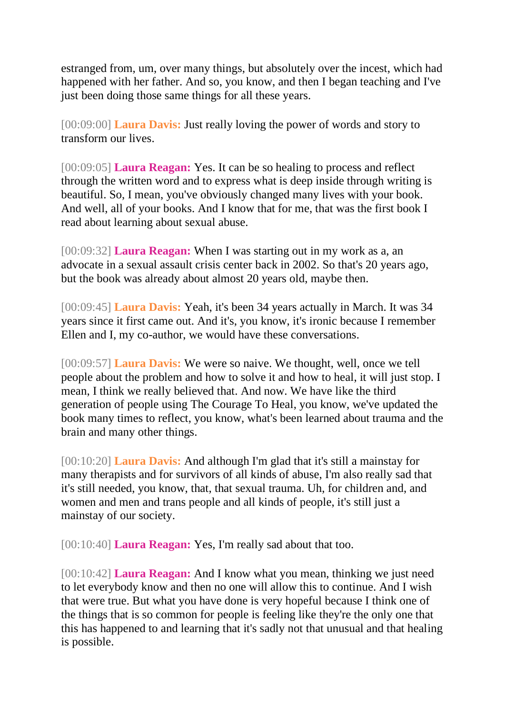estranged from, um, over many things, but absolutely over the incest, which had happened with her father. And so, you know, and then I began teaching and I've just been doing those same things for all these years.

[00:09:00] **Laura Davis:** Just really loving the power of words and story to transform our lives.

[00:09:05] **Laura Reagan:** Yes. It can be so healing to process and reflect through the written word and to express what is deep inside through writing is beautiful. So, I mean, you've obviously changed many lives with your book. And well, all of your books. And I know that for me, that was the first book I read about learning about sexual abuse.

[00:09:32] **Laura Reagan:** When I was starting out in my work as a, an advocate in a sexual assault crisis center back in 2002. So that's 20 years ago, but the book was already about almost 20 years old, maybe then.

[00:09:45] **Laura Davis:** Yeah, it's been 34 years actually in March. It was 34 years since it first came out. And it's, you know, it's ironic because I remember Ellen and I, my co-author, we would have these conversations.

[00:09:57] **Laura Davis:** We were so naive. We thought, well, once we tell people about the problem and how to solve it and how to heal, it will just stop. I mean, I think we really believed that. And now. We have like the third generation of people using The Courage To Heal, you know, we've updated the book many times to reflect, you know, what's been learned about trauma and the brain and many other things.

[00:10:20] **Laura Davis:** And although I'm glad that it's still a mainstay for many therapists and for survivors of all kinds of abuse, I'm also really sad that it's still needed, you know, that, that sexual trauma. Uh, for children and, and women and men and trans people and all kinds of people, it's still just a mainstay of our society.

[00:10:40] **Laura Reagan:** Yes, I'm really sad about that too.

[00:10:42] **Laura Reagan:** And I know what you mean, thinking we just need to let everybody know and then no one will allow this to continue. And I wish that were true. But what you have done is very hopeful because I think one of the things that is so common for people is feeling like they're the only one that this has happened to and learning that it's sadly not that unusual and that healing is possible.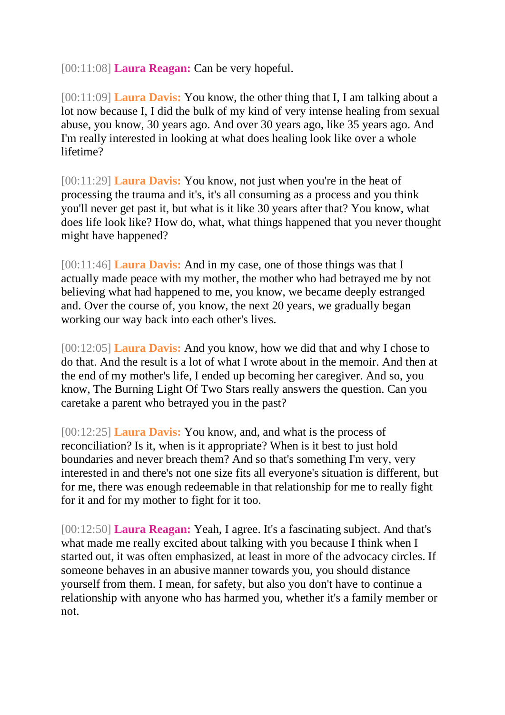[00:11:08] **Laura Reagan:** Can be very hopeful.

[00:11:09] **Laura Davis:** You know, the other thing that I, I am talking about a lot now because I, I did the bulk of my kind of very intense healing from sexual abuse, you know, 30 years ago. And over 30 years ago, like 35 years ago. And I'm really interested in looking at what does healing look like over a whole lifetime?

[00:11:29] **Laura Davis:** You know, not just when you're in the heat of processing the trauma and it's, it's all consuming as a process and you think you'll never get past it, but what is it like 30 years after that? You know, what does life look like? How do, what, what things happened that you never thought might have happened?

[00:11:46] **Laura Davis:** And in my case, one of those things was that I actually made peace with my mother, the mother who had betrayed me by not believing what had happened to me, you know, we became deeply estranged and. Over the course of, you know, the next 20 years, we gradually began working our way back into each other's lives.

[00:12:05] **Laura Davis:** And you know, how we did that and why I chose to do that. And the result is a lot of what I wrote about in the memoir. And then at the end of my mother's life, I ended up becoming her caregiver. And so, you know, The Burning Light Of Two Stars really answers the question. Can you caretake a parent who betrayed you in the past?

[00:12:25] **Laura Davis:** You know, and, and what is the process of reconciliation? Is it, when is it appropriate? When is it best to just hold boundaries and never breach them? And so that's something I'm very, very interested in and there's not one size fits all everyone's situation is different, but for me, there was enough redeemable in that relationship for me to really fight for it and for my mother to fight for it too.

[00:12:50] **Laura Reagan:** Yeah, I agree. It's a fascinating subject. And that's what made me really excited about talking with you because I think when I started out, it was often emphasized, at least in more of the advocacy circles. If someone behaves in an abusive manner towards you, you should distance yourself from them. I mean, for safety, but also you don't have to continue a relationship with anyone who has harmed you, whether it's a family member or not.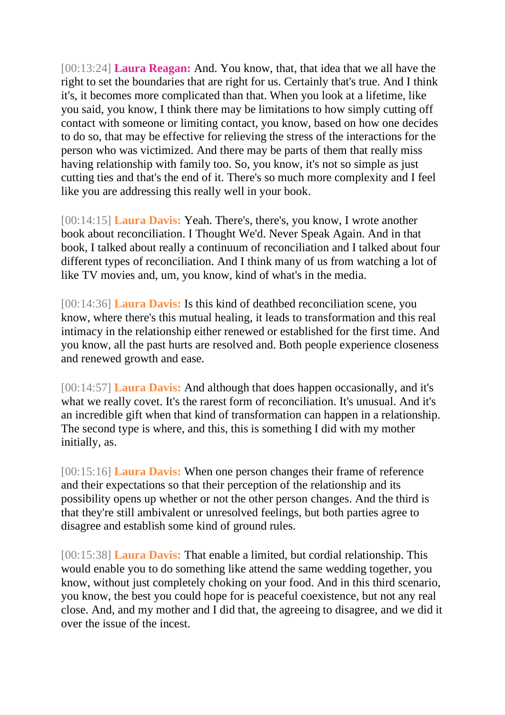[00:13:24] **Laura Reagan:** And. You know, that, that idea that we all have the right to set the boundaries that are right for us. Certainly that's true. And I think it's, it becomes more complicated than that. When you look at a lifetime, like you said, you know, I think there may be limitations to how simply cutting off contact with someone or limiting contact, you know, based on how one decides to do so, that may be effective for relieving the stress of the interactions for the person who was victimized. And there may be parts of them that really miss having relationship with family too. So, you know, it's not so simple as just cutting ties and that's the end of it. There's so much more complexity and I feel like you are addressing this really well in your book.

[00:14:15] **Laura Davis:** Yeah. There's, there's, you know, I wrote another book about reconciliation. I Thought We'd. Never Speak Again. And in that book, I talked about really a continuum of reconciliation and I talked about four different types of reconciliation. And I think many of us from watching a lot of like TV movies and, um, you know, kind of what's in the media.

[00:14:36] **Laura Davis:** Is this kind of deathbed reconciliation scene, you know, where there's this mutual healing, it leads to transformation and this real intimacy in the relationship either renewed or established for the first time. And you know, all the past hurts are resolved and. Both people experience closeness and renewed growth and ease.

[00:14:57] **Laura Davis:** And although that does happen occasionally, and it's what we really covet. It's the rarest form of reconciliation. It's unusual. And it's an incredible gift when that kind of transformation can happen in a relationship. The second type is where, and this, this is something I did with my mother initially, as.

[00:15:16] **Laura Davis:** When one person changes their frame of reference and their expectations so that their perception of the relationship and its possibility opens up whether or not the other person changes. And the third is that they're still ambivalent or unresolved feelings, but both parties agree to disagree and establish some kind of ground rules.

[00:15:38] **Laura Davis:** That enable a limited, but cordial relationship. This would enable you to do something like attend the same wedding together, you know, without just completely choking on your food. And in this third scenario, you know, the best you could hope for is peaceful coexistence, but not any real close. And, and my mother and I did that, the agreeing to disagree, and we did it over the issue of the incest.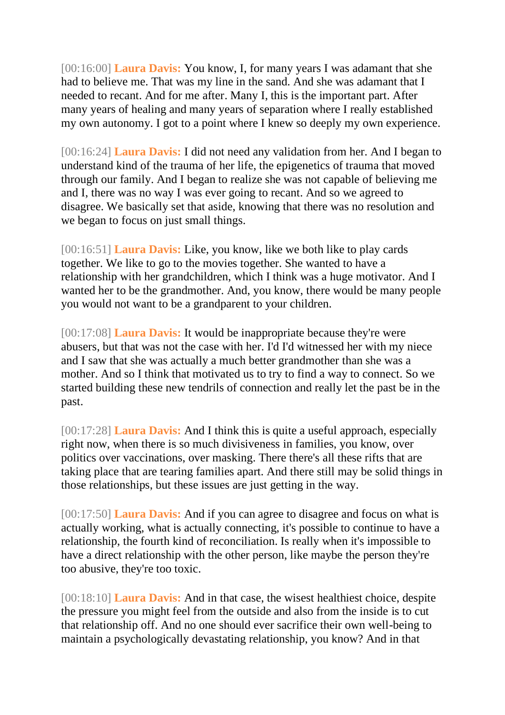[00:16:00] **Laura Davis:** You know, I, for many years I was adamant that she had to believe me. That was my line in the sand. And she was adamant that I needed to recant. And for me after. Many I, this is the important part. After many years of healing and many years of separation where I really established my own autonomy. I got to a point where I knew so deeply my own experience.

[00:16:24] **Laura Davis:** I did not need any validation from her. And I began to understand kind of the trauma of her life, the epigenetics of trauma that moved through our family. And I began to realize she was not capable of believing me and I, there was no way I was ever going to recant. And so we agreed to disagree. We basically set that aside, knowing that there was no resolution and we began to focus on just small things.

[00:16:51] **Laura Davis:** Like, you know, like we both like to play cards together. We like to go to the movies together. She wanted to have a relationship with her grandchildren, which I think was a huge motivator. And I wanted her to be the grandmother. And, you know, there would be many people you would not want to be a grandparent to your children.

[00:17:08] **Laura Davis:** It would be inappropriate because they're were abusers, but that was not the case with her. I'd I'd witnessed her with my niece and I saw that she was actually a much better grandmother than she was a mother. And so I think that motivated us to try to find a way to connect. So we started building these new tendrils of connection and really let the past be in the past.

[00:17:28] **Laura Davis:** And I think this is quite a useful approach, especially right now, when there is so much divisiveness in families, you know, over politics over vaccinations, over masking. There there's all these rifts that are taking place that are tearing families apart. And there still may be solid things in those relationships, but these issues are just getting in the way.

[00:17:50] **Laura Davis:** And if you can agree to disagree and focus on what is actually working, what is actually connecting, it's possible to continue to have a relationship, the fourth kind of reconciliation. Is really when it's impossible to have a direct relationship with the other person, like maybe the person they're too abusive, they're too toxic.

[00:18:10] **Laura Davis:** And in that case, the wisest healthiest choice, despite the pressure you might feel from the outside and also from the inside is to cut that relationship off. And no one should ever sacrifice their own well-being to maintain a psychologically devastating relationship, you know? And in that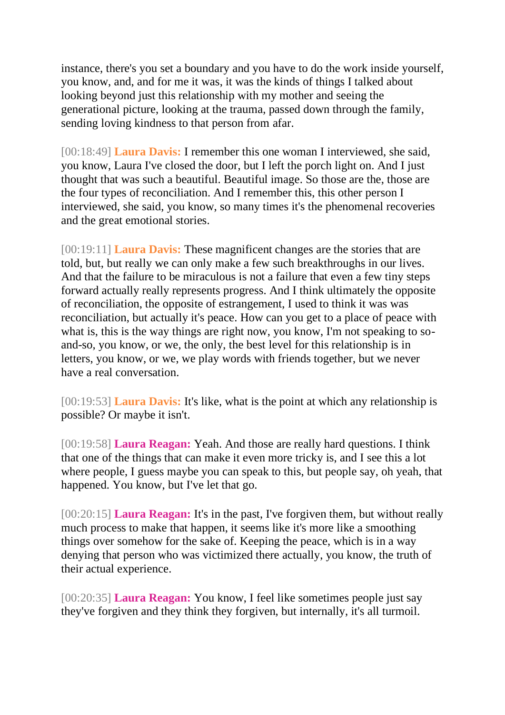instance, there's you set a boundary and you have to do the work inside yourself, you know, and, and for me it was, it was the kinds of things I talked about looking beyond just this relationship with my mother and seeing the generational picture, looking at the trauma, passed down through the family, sending loving kindness to that person from afar.

[00:18:49] **Laura Davis:** I remember this one woman I interviewed, she said, you know, Laura I've closed the door, but I left the porch light on. And I just thought that was such a beautiful. Beautiful image. So those are the, those are the four types of reconciliation. And I remember this, this other person I interviewed, she said, you know, so many times it's the phenomenal recoveries and the great emotional stories.

[00:19:11] **Laura Davis:** These magnificent changes are the stories that are told, but, but really we can only make a few such breakthroughs in our lives. And that the failure to be miraculous is not a failure that even a few tiny steps forward actually really represents progress. And I think ultimately the opposite of reconciliation, the opposite of estrangement, I used to think it was was reconciliation, but actually it's peace. How can you get to a place of peace with what is, this is the way things are right now, you know, I'm not speaking to soand-so, you know, or we, the only, the best level for this relationship is in letters, you know, or we, we play words with friends together, but we never have a real conversation.

[00:19:53] **Laura Davis:** It's like, what is the point at which any relationship is possible? Or maybe it isn't.

[00:19:58] **Laura Reagan:** Yeah. And those are really hard questions. I think that one of the things that can make it even more tricky is, and I see this a lot where people, I guess maybe you can speak to this, but people say, oh yeah, that happened. You know, but I've let that go.

[00:20:15] **Laura Reagan:** It's in the past, I've forgiven them, but without really much process to make that happen, it seems like it's more like a smoothing things over somehow for the sake of. Keeping the peace, which is in a way denying that person who was victimized there actually, you know, the truth of their actual experience.

[00:20:35] **Laura Reagan:** You know, I feel like sometimes people just say they've forgiven and they think they forgiven, but internally, it's all turmoil.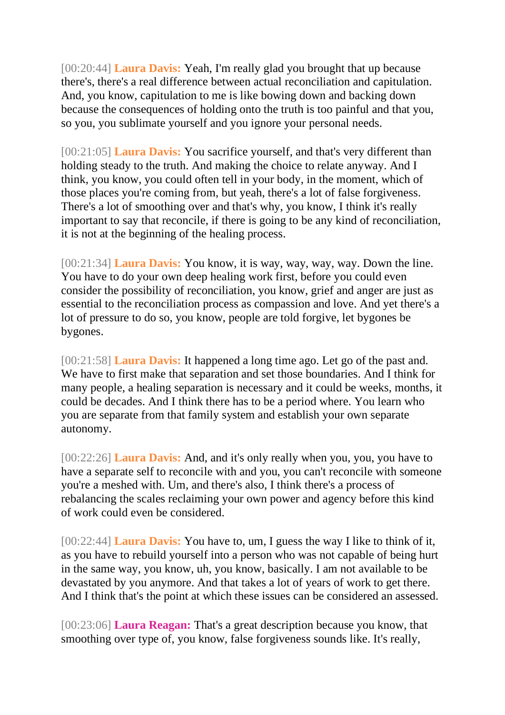[00:20:44] **Laura Davis:** Yeah, I'm really glad you brought that up because there's, there's a real difference between actual reconciliation and capitulation. And, you know, capitulation to me is like bowing down and backing down because the consequences of holding onto the truth is too painful and that you, so you, you sublimate yourself and you ignore your personal needs.

[00:21:05] **Laura Davis:** You sacrifice yourself, and that's very different than holding steady to the truth. And making the choice to relate anyway. And I think, you know, you could often tell in your body, in the moment, which of those places you're coming from, but yeah, there's a lot of false forgiveness. There's a lot of smoothing over and that's why, you know, I think it's really important to say that reconcile, if there is going to be any kind of reconciliation, it is not at the beginning of the healing process.

[00:21:34] **Laura Davis:** You know, it is way, way, way, way. Down the line. You have to do your own deep healing work first, before you could even consider the possibility of reconciliation, you know, grief and anger are just as essential to the reconciliation process as compassion and love. And yet there's a lot of pressure to do so, you know, people are told forgive, let bygones be bygones.

[00:21:58] **Laura Davis:** It happened a long time ago. Let go of the past and. We have to first make that separation and set those boundaries. And I think for many people, a healing separation is necessary and it could be weeks, months, it could be decades. And I think there has to be a period where. You learn who you are separate from that family system and establish your own separate autonomy.

[00:22:26] **Laura Davis:** And, and it's only really when you, you, you have to have a separate self to reconcile with and you, you can't reconcile with someone you're a meshed with. Um, and there's also, I think there's a process of rebalancing the scales reclaiming your own power and agency before this kind of work could even be considered.

[00:22:44] **Laura Davis:** You have to, um, I guess the way I like to think of it, as you have to rebuild yourself into a person who was not capable of being hurt in the same way, you know, uh, you know, basically. I am not available to be devastated by you anymore. And that takes a lot of years of work to get there. And I think that's the point at which these issues can be considered an assessed.

[00:23:06] **Laura Reagan:** That's a great description because you know, that smoothing over type of, you know, false forgiveness sounds like. It's really,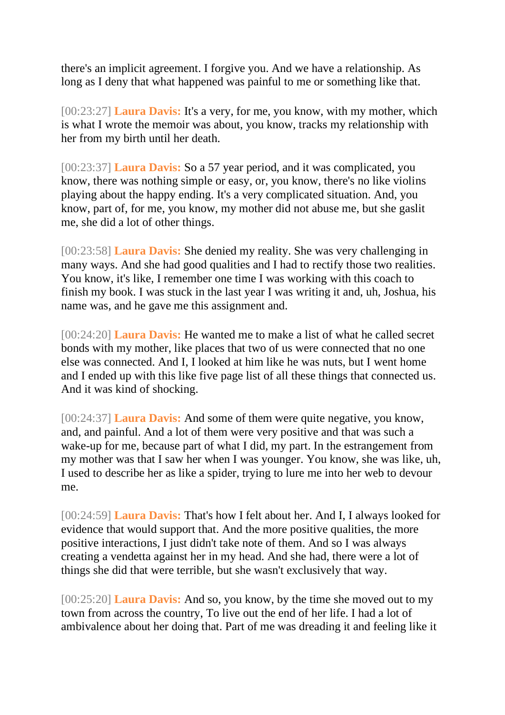there's an implicit agreement. I forgive you. And we have a relationship. As long as I deny that what happened was painful to me or something like that.

[00:23:27] **Laura Davis:** It's a very, for me, you know, with my mother, which is what I wrote the memoir was about, you know, tracks my relationship with her from my birth until her death.

[00:23:37] **Laura Davis:** So a 57 year period, and it was complicated, you know, there was nothing simple or easy, or, you know, there's no like violins playing about the happy ending. It's a very complicated situation. And, you know, part of, for me, you know, my mother did not abuse me, but she gaslit me, she did a lot of other things.

[00:23:58] **Laura Davis:** She denied my reality. She was very challenging in many ways. And she had good qualities and I had to rectify those two realities. You know, it's like, I remember one time I was working with this coach to finish my book. I was stuck in the last year I was writing it and, uh, Joshua, his name was, and he gave me this assignment and.

[00:24:20] **Laura Davis:** He wanted me to make a list of what he called secret bonds with my mother, like places that two of us were connected that no one else was connected. And I, I looked at him like he was nuts, but I went home and I ended up with this like five page list of all these things that connected us. And it was kind of shocking.

[00:24:37] **Laura Davis:** And some of them were quite negative, you know, and, and painful. And a lot of them were very positive and that was such a wake-up for me, because part of what I did, my part. In the estrangement from my mother was that I saw her when I was younger. You know, she was like, uh, I used to describe her as like a spider, trying to lure me into her web to devour me.

[00:24:59] **Laura Davis:** That's how I felt about her. And I, I always looked for evidence that would support that. And the more positive qualities, the more positive interactions, I just didn't take note of them. And so I was always creating a vendetta against her in my head. And she had, there were a lot of things she did that were terrible, but she wasn't exclusively that way.

[00:25:20] **Laura Davis:** And so, you know, by the time she moved out to my town from across the country, To live out the end of her life. I had a lot of ambivalence about her doing that. Part of me was dreading it and feeling like it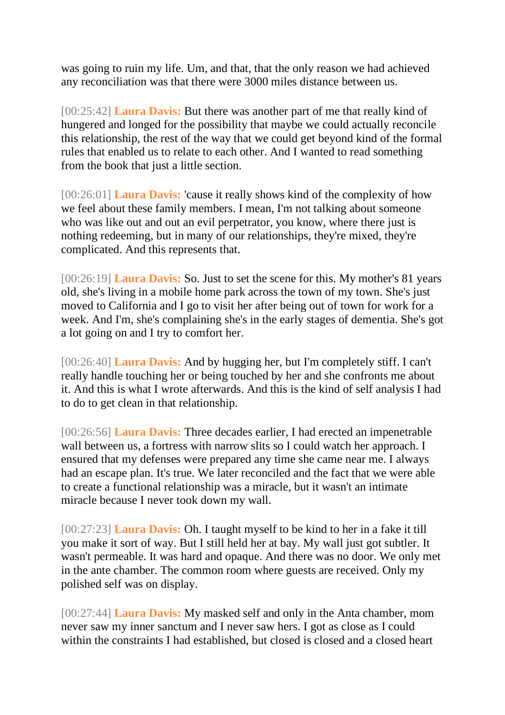was going to ruin my life. Um, and that, that the only reason we had achieved any reconciliation was that there were 3000 miles distance between us.

[00:25:42] **Laura Davis:** But there was another part of me that really kind of hungered and longed for the possibility that maybe we could actually reconcile this relationship, the rest of the way that we could get beyond kind of the formal rules that enabled us to relate to each other. And I wanted to read something from the book that just a little section.

[00:26:01] **Laura Davis:** 'cause it really shows kind of the complexity of how we feel about these family members. I mean, I'm not talking about someone who was like out and out an evil perpetrator, you know, where there just is nothing redeeming, but in many of our relationships, they're mixed, they're complicated. And this represents that.

[00:26:19] **Laura Davis:** So. Just to set the scene for this. My mother's 81 years old, she's living in a mobile home park across the town of my town. She's just moved to California and I go to visit her after being out of town for work for a week. And I'm, she's complaining she's in the early stages of dementia. She's got a lot going on and I try to comfort her.

[00:26:40] **Laura Davis:** And by hugging her, but I'm completely stiff. I can't really handle touching her or being touched by her and she confronts me about it. And this is what I wrote afterwards. And this is the kind of self analysis I had to do to get clean in that relationship.

[00:26:56] **Laura Davis:** Three decades earlier, I had erected an impenetrable wall between us, a fortress with narrow slits so I could watch her approach. I ensured that my defenses were prepared any time she came near me. I always had an escape plan. It's true. We later reconciled and the fact that we were able to create a functional relationship was a miracle, but it wasn't an intimate miracle because I never took down my wall.

[00:27:23] **Laura Davis:** Oh. I taught myself to be kind to her in a fake it till you make it sort of way. But I still held her at bay. My wall just got subtler. It wasn't permeable. It was hard and opaque. And there was no door. We only met in the ante chamber. The common room where guests are received. Only my polished self was on display.

[00:27:44] **Laura Davis:** My masked self and only in the Anta chamber, mom never saw my inner sanctum and I never saw hers. I got as close as I could within the constraints I had established, but closed is closed and a closed heart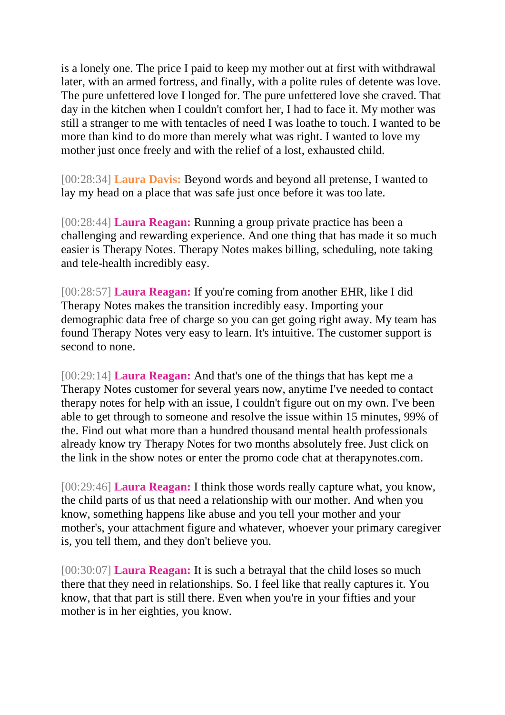is a lonely one. The price I paid to keep my mother out at first with withdrawal later, with an armed fortress, and finally, with a polite rules of detente was love. The pure unfettered love I longed for. The pure unfettered love she craved. That day in the kitchen when I couldn't comfort her, I had to face it. My mother was still a stranger to me with tentacles of need I was loathe to touch. I wanted to be more than kind to do more than merely what was right. I wanted to love my mother just once freely and with the relief of a lost, exhausted child.

[00:28:34] **Laura Davis:** Beyond words and beyond all pretense, I wanted to lay my head on a place that was safe just once before it was too late.

[00:28:44] **Laura Reagan:** Running a group private practice has been a challenging and rewarding experience. And one thing that has made it so much easier is Therapy Notes. Therapy Notes makes billing, scheduling, note taking and tele-health incredibly easy.

[00:28:57] **Laura Reagan:** If you're coming from another EHR, like I did Therapy Notes makes the transition incredibly easy. Importing your demographic data free of charge so you can get going right away. My team has found Therapy Notes very easy to learn. It's intuitive. The customer support is second to none.

[00:29:14] **Laura Reagan:** And that's one of the things that has kept me a Therapy Notes customer for several years now, anytime I've needed to contact therapy notes for help with an issue, I couldn't figure out on my own. I've been able to get through to someone and resolve the issue within 15 minutes, 99% of the. Find out what more than a hundred thousand mental health professionals already know try Therapy Notes for two months absolutely free. Just click on the link in the show notes or enter the promo code chat at therapynotes.com.

[00:29:46] **Laura Reagan:** I think those words really capture what, you know, the child parts of us that need a relationship with our mother. And when you know, something happens like abuse and you tell your mother and your mother's, your attachment figure and whatever, whoever your primary caregiver is, you tell them, and they don't believe you.

[00:30:07] **Laura Reagan:** It is such a betrayal that the child loses so much there that they need in relationships. So. I feel like that really captures it. You know, that that part is still there. Even when you're in your fifties and your mother is in her eighties, you know.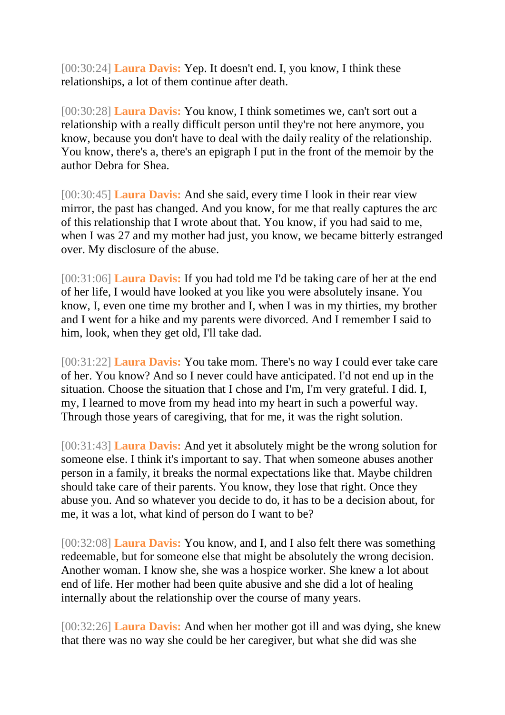[00:30:24] **Laura Davis:** Yep. It doesn't end. I, you know, I think these relationships, a lot of them continue after death.

[00:30:28] **Laura Davis:** You know, I think sometimes we, can't sort out a relationship with a really difficult person until they're not here anymore, you know, because you don't have to deal with the daily reality of the relationship. You know, there's a, there's an epigraph I put in the front of the memoir by the author Debra for Shea.

[00:30:45] **Laura Davis:** And she said, every time I look in their rear view mirror, the past has changed. And you know, for me that really captures the arc of this relationship that I wrote about that. You know, if you had said to me, when I was 27 and my mother had just, you know, we became bitterly estranged over. My disclosure of the abuse.

[00:31:06] **Laura Davis:** If you had told me I'd be taking care of her at the end of her life, I would have looked at you like you were absolutely insane. You know, I, even one time my brother and I, when I was in my thirties, my brother and I went for a hike and my parents were divorced. And I remember I said to him, look, when they get old, I'll take dad.

[00:31:22] **Laura Davis:** You take mom. There's no way I could ever take care of her. You know? And so I never could have anticipated. I'd not end up in the situation. Choose the situation that I chose and I'm, I'm very grateful. I did. I, my, I learned to move from my head into my heart in such a powerful way. Through those years of caregiving, that for me, it was the right solution.

[00:31:43] **Laura Davis:** And yet it absolutely might be the wrong solution for someone else. I think it's important to say. That when someone abuses another person in a family, it breaks the normal expectations like that. Maybe children should take care of their parents. You know, they lose that right. Once they abuse you. And so whatever you decide to do, it has to be a decision about, for me, it was a lot, what kind of person do I want to be?

[00:32:08] **Laura Davis:** You know, and I, and I also felt there was something redeemable, but for someone else that might be absolutely the wrong decision. Another woman. I know she, she was a hospice worker. She knew a lot about end of life. Her mother had been quite abusive and she did a lot of healing internally about the relationship over the course of many years.

[00:32:26] **Laura Davis:** And when her mother got ill and was dying, she knew that there was no way she could be her caregiver, but what she did was she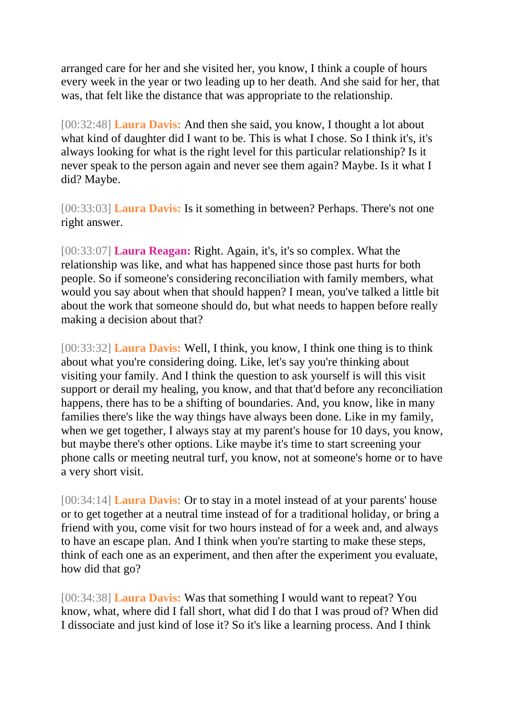arranged care for her and she visited her, you know, I think a couple of hours every week in the year or two leading up to her death. And she said for her, that was, that felt like the distance that was appropriate to the relationship.

[00:32:48] **Laura Davis:** And then she said, you know, I thought a lot about what kind of daughter did I want to be. This is what I chose. So I think it's, it's always looking for what is the right level for this particular relationship? Is it never speak to the person again and never see them again? Maybe. Is it what I did? Maybe.

[00:33:03] **Laura Davis:** Is it something in between? Perhaps. There's not one right answer.

[00:33:07] **Laura Reagan:** Right. Again, it's, it's so complex. What the relationship was like, and what has happened since those past hurts for both people. So if someone's considering reconciliation with family members, what would you say about when that should happen? I mean, you've talked a little bit about the work that someone should do, but what needs to happen before really making a decision about that?

[00:33:32] **Laura Davis:** Well, I think, you know, I think one thing is to think about what you're considering doing. Like, let's say you're thinking about visiting your family. And I think the question to ask yourself is will this visit support or derail my healing, you know, and that that'd before any reconciliation happens, there has to be a shifting of boundaries. And, you know, like in many families there's like the way things have always been done. Like in my family, when we get together, I always stay at my parent's house for 10 days, you know, but maybe there's other options. Like maybe it's time to start screening your phone calls or meeting neutral turf, you know, not at someone's home or to have a very short visit.

[00:34:14] **Laura Davis:** Or to stay in a motel instead of at your parents' house or to get together at a neutral time instead of for a traditional holiday, or bring a friend with you, come visit for two hours instead of for a week and, and always to have an escape plan. And I think when you're starting to make these steps, think of each one as an experiment, and then after the experiment you evaluate, how did that go?

[00:34:38] **Laura Davis:** Was that something I would want to repeat? You know, what, where did I fall short, what did I do that I was proud of? When did I dissociate and just kind of lose it? So it's like a learning process. And I think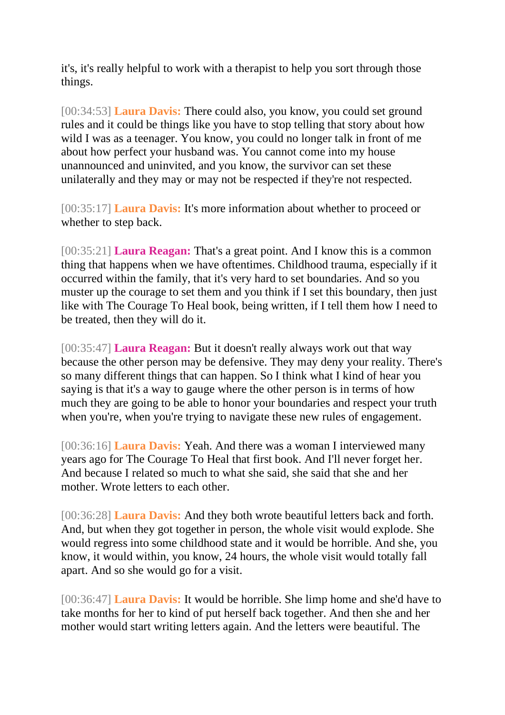it's, it's really helpful to work with a therapist to help you sort through those things.

[00:34:53] **Laura Davis:** There could also, you know, you could set ground rules and it could be things like you have to stop telling that story about how wild I was as a teenager. You know, you could no longer talk in front of me about how perfect your husband was. You cannot come into my house unannounced and uninvited, and you know, the survivor can set these unilaterally and they may or may not be respected if they're not respected.

[00:35:17] **Laura Davis:** It's more information about whether to proceed or whether to step back.

[00:35:21] **Laura Reagan:** That's a great point. And I know this is a common thing that happens when we have oftentimes. Childhood trauma, especially if it occurred within the family, that it's very hard to set boundaries. And so you muster up the courage to set them and you think if I set this boundary, then just like with The Courage To Heal book, being written, if I tell them how I need to be treated, then they will do it.

[00:35:47] **Laura Reagan:** But it doesn't really always work out that way because the other person may be defensive. They may deny your reality. There's so many different things that can happen. So I think what I kind of hear you saying is that it's a way to gauge where the other person is in terms of how much they are going to be able to honor your boundaries and respect your truth when you're, when you're trying to navigate these new rules of engagement.

[00:36:16] **Laura Davis:** Yeah. And there was a woman I interviewed many years ago for The Courage To Heal that first book. And I'll never forget her. And because I related so much to what she said, she said that she and her mother. Wrote letters to each other.

[00:36:28] **Laura Davis:** And they both wrote beautiful letters back and forth. And, but when they got together in person, the whole visit would explode. She would regress into some childhood state and it would be horrible. And she, you know, it would within, you know, 24 hours, the whole visit would totally fall apart. And so she would go for a visit.

[00:36:47] **Laura Davis:** It would be horrible. She limp home and she'd have to take months for her to kind of put herself back together. And then she and her mother would start writing letters again. And the letters were beautiful. The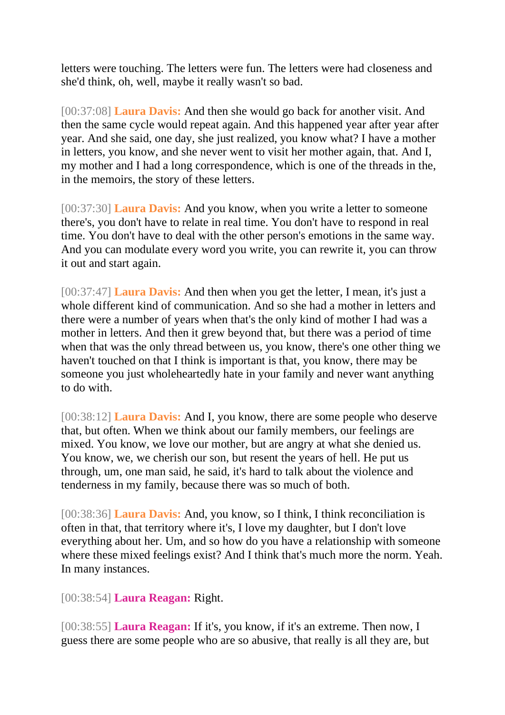letters were touching. The letters were fun. The letters were had closeness and she'd think, oh, well, maybe it really wasn't so bad.

[00:37:08] **Laura Davis:** And then she would go back for another visit. And then the same cycle would repeat again. And this happened year after year after year. And she said, one day, she just realized, you know what? I have a mother in letters, you know, and she never went to visit her mother again, that. And I, my mother and I had a long correspondence, which is one of the threads in the, in the memoirs, the story of these letters.

[00:37:30] **Laura Davis:** And you know, when you write a letter to someone there's, you don't have to relate in real time. You don't have to respond in real time. You don't have to deal with the other person's emotions in the same way. And you can modulate every word you write, you can rewrite it, you can throw it out and start again.

[00:37:47] **Laura Davis:** And then when you get the letter, I mean, it's just a whole different kind of communication. And so she had a mother in letters and there were a number of years when that's the only kind of mother I had was a mother in letters. And then it grew beyond that, but there was a period of time when that was the only thread between us, you know, there's one other thing we haven't touched on that I think is important is that, you know, there may be someone you just wholeheartedly hate in your family and never want anything to do with.

[00:38:12] **Laura Davis:** And I, you know, there are some people who deserve that, but often. When we think about our family members, our feelings are mixed. You know, we love our mother, but are angry at what she denied us. You know, we, we cherish our son, but resent the years of hell. He put us through, um, one man said, he said, it's hard to talk about the violence and tenderness in my family, because there was so much of both.

[00:38:36] **Laura Davis:** And, you know, so I think, I think reconciliation is often in that, that territory where it's, I love my daughter, but I don't love everything about her. Um, and so how do you have a relationship with someone where these mixed feelings exist? And I think that's much more the norm. Yeah. In many instances.

[00:38:54] **Laura Reagan:** Right.

[00:38:55] **Laura Reagan:** If it's, you know, if it's an extreme. Then now, I guess there are some people who are so abusive, that really is all they are, but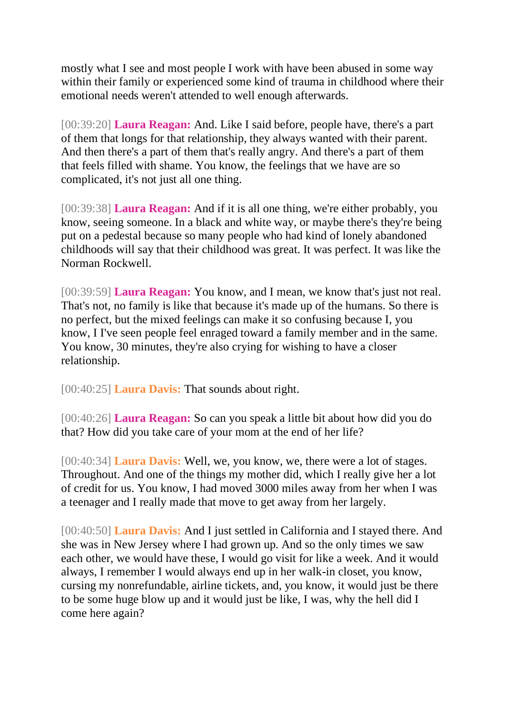mostly what I see and most people I work with have been abused in some way within their family or experienced some kind of trauma in childhood where their emotional needs weren't attended to well enough afterwards.

[00:39:20] **Laura Reagan:** And. Like I said before, people have, there's a part of them that longs for that relationship, they always wanted with their parent. And then there's a part of them that's really angry. And there's a part of them that feels filled with shame. You know, the feelings that we have are so complicated, it's not just all one thing.

[00:39:38] **Laura Reagan:** And if it is all one thing, we're either probably, you know, seeing someone. In a black and white way, or maybe there's they're being put on a pedestal because so many people who had kind of lonely abandoned childhoods will say that their childhood was great. It was perfect. It was like the Norman Rockwell.

[00:39:59] **Laura Reagan:** You know, and I mean, we know that's just not real. That's not, no family is like that because it's made up of the humans. So there is no perfect, but the mixed feelings can make it so confusing because I, you know, I I've seen people feel enraged toward a family member and in the same. You know, 30 minutes, they're also crying for wishing to have a closer relationship.

[00:40:25] **Laura Davis:** That sounds about right.

[00:40:26] **Laura Reagan:** So can you speak a little bit about how did you do that? How did you take care of your mom at the end of her life?

[00:40:34] **Laura Davis:** Well, we, you know, we, there were a lot of stages. Throughout. And one of the things my mother did, which I really give her a lot of credit for us. You know, I had moved 3000 miles away from her when I was a teenager and I really made that move to get away from her largely.

[00:40:50] **Laura Davis:** And I just settled in California and I stayed there. And she was in New Jersey where I had grown up. And so the only times we saw each other, we would have these, I would go visit for like a week. And it would always, I remember I would always end up in her walk-in closet, you know, cursing my nonrefundable, airline tickets, and, you know, it would just be there to be some huge blow up and it would just be like, I was, why the hell did I come here again?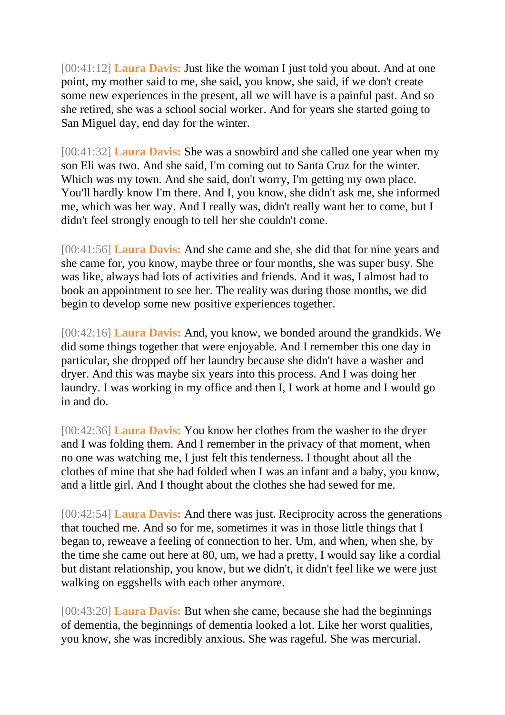[00:41:12] **Laura Davis:** Just like the woman I just told you about. And at one point, my mother said to me, she said, you know, she said, if we don't create some new experiences in the present, all we will have is a painful past. And so she retired, she was a school social worker. And for years she started going to San Miguel day, end day for the winter.

[00:41:32] **Laura Davis:** She was a snowbird and she called one year when my son Eli was two. And she said, I'm coming out to Santa Cruz for the winter. Which was my town. And she said, don't worry, I'm getting my own place. You'll hardly know I'm there. And I, you know, she didn't ask me, she informed me, which was her way. And I really was, didn't really want her to come, but I didn't feel strongly enough to tell her she couldn't come.

[00:41:56] **Laura Davis:** And she came and she, she did that for nine years and she came for, you know, maybe three or four months, she was super busy. She was like, always had lots of activities and friends. And it was, I almost had to book an appointment to see her. The reality was during those months, we did begin to develop some new positive experiences together.

[00:42:16] **Laura Davis:** And, you know, we bonded around the grandkids. We did some things together that were enjoyable. And I remember this one day in particular, she dropped off her laundry because she didn't have a washer and dryer. And this was maybe six years into this process. And I was doing her laundry. I was working in my office and then I, I work at home and I would go in and do.

[00:42:36] **Laura Davis:** You know her clothes from the washer to the dryer and I was folding them. And I remember in the privacy of that moment, when no one was watching me, I just felt this tenderness. I thought about all the clothes of mine that she had folded when I was an infant and a baby, you know, and a little girl. And I thought about the clothes she had sewed for me.

[00:42:54] **Laura Davis:** And there was just. Reciprocity across the generations that touched me. And so for me, sometimes it was in those little things that I began to, reweave a feeling of connection to her. Um, and when, when she, by the time she came out here at 80, um, we had a pretty, I would say like a cordial but distant relationship, you know, but we didn't, it didn't feel like we were just walking on eggshells with each other anymore.

[00:43:20] **Laura Davis:** But when she came, because she had the beginnings of dementia, the beginnings of dementia looked a lot. Like her worst qualities, you know, she was incredibly anxious. She was rageful. She was mercurial.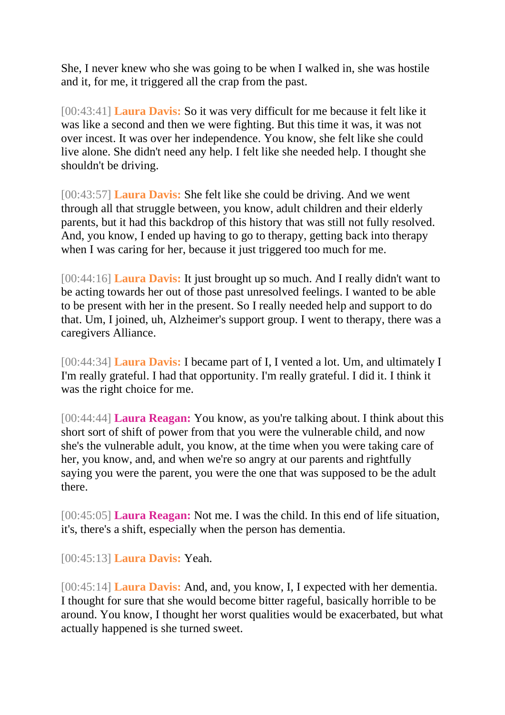She, I never knew who she was going to be when I walked in, she was hostile and it, for me, it triggered all the crap from the past.

[00:43:41] **Laura Davis:** So it was very difficult for me because it felt like it was like a second and then we were fighting. But this time it was, it was not over incest. It was over her independence. You know, she felt like she could live alone. She didn't need any help. I felt like she needed help. I thought she shouldn't be driving.

[00:43:57] **Laura Davis:** She felt like she could be driving. And we went through all that struggle between, you know, adult children and their elderly parents, but it had this backdrop of this history that was still not fully resolved. And, you know, I ended up having to go to therapy, getting back into therapy when I was caring for her, because it just triggered too much for me.

[00:44:16] **Laura Davis:** It just brought up so much. And I really didn't want to be acting towards her out of those past unresolved feelings. I wanted to be able to be present with her in the present. So I really needed help and support to do that. Um, I joined, uh, Alzheimer's support group. I went to therapy, there was a caregivers Alliance.

[00:44:34] **Laura Davis:** I became part of I, I vented a lot. Um, and ultimately I I'm really grateful. I had that opportunity. I'm really grateful. I did it. I think it was the right choice for me.

[00:44:44] **Laura Reagan:** You know, as you're talking about. I think about this short sort of shift of power from that you were the vulnerable child, and now she's the vulnerable adult, you know, at the time when you were taking care of her, you know, and, and when we're so angry at our parents and rightfully saying you were the parent, you were the one that was supposed to be the adult there.

[00:45:05] **Laura Reagan:** Not me. I was the child. In this end of life situation, it's, there's a shift, especially when the person has dementia.

[00:45:13] **Laura Davis:** Yeah.

[00:45:14] **Laura Davis:** And, and, you know, I, I expected with her dementia. I thought for sure that she would become bitter rageful, basically horrible to be around. You know, I thought her worst qualities would be exacerbated, but what actually happened is she turned sweet.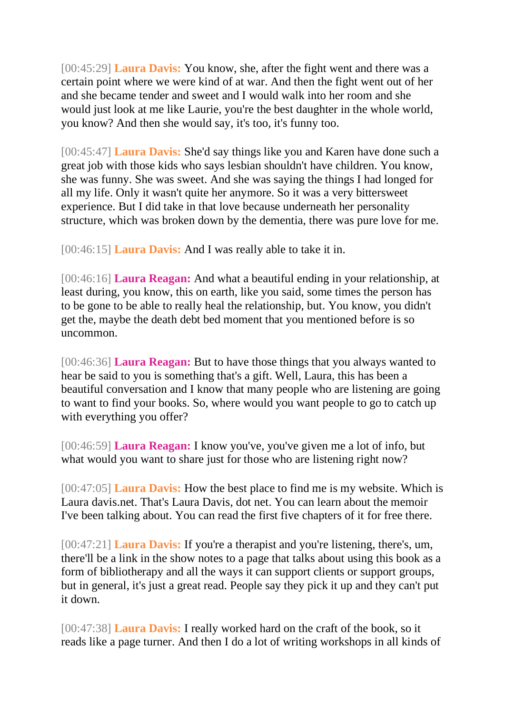[00:45:29] **Laura Davis:** You know, she, after the fight went and there was a certain point where we were kind of at war. And then the fight went out of her and she became tender and sweet and I would walk into her room and she would just look at me like Laurie, you're the best daughter in the whole world, you know? And then she would say, it's too, it's funny too.

[00:45:47] **Laura Davis:** She'd say things like you and Karen have done such a great job with those kids who says lesbian shouldn't have children. You know, she was funny. She was sweet. And she was saying the things I had longed for all my life. Only it wasn't quite her anymore. So it was a very bittersweet experience. But I did take in that love because underneath her personality structure, which was broken down by the dementia, there was pure love for me.

[00:46:15] **Laura Davis:** And I was really able to take it in.

[00:46:16] **Laura Reagan:** And what a beautiful ending in your relationship, at least during, you know, this on earth, like you said, some times the person has to be gone to be able to really heal the relationship, but. You know, you didn't get the, maybe the death debt bed moment that you mentioned before is so uncommon.

[00:46:36] **Laura Reagan:** But to have those things that you always wanted to hear be said to you is something that's a gift. Well, Laura, this has been a beautiful conversation and I know that many people who are listening are going to want to find your books. So, where would you want people to go to catch up with everything you offer?

[00:46:59] **Laura Reagan:** I know you've, you've given me a lot of info, but what would you want to share just for those who are listening right now?

[00:47:05] **Laura Davis:** How the best place to find me is my website. Which is Laura davis.net. That's Laura Davis, dot net. You can learn about the memoir I've been talking about. You can read the first five chapters of it for free there.

[00:47:21] **Laura Davis:** If you're a therapist and you're listening, there's, um, there'll be a link in the show notes to a page that talks about using this book as a form of bibliotherapy and all the ways it can support clients or support groups, but in general, it's just a great read. People say they pick it up and they can't put it down.

[00:47:38] **Laura Davis:** I really worked hard on the craft of the book, so it reads like a page turner. And then I do a lot of writing workshops in all kinds of